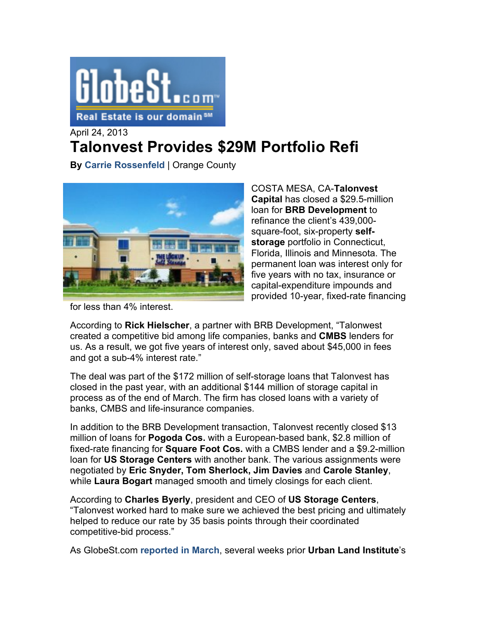

April 24, 2013

## **Talonvest Provides \$29M Portfolio Refi**

**By Carrie Rossenfeld** | Orange County



COSTA MESA, CA-**Talonvest Capital** has closed a \$29.5-million loan for **BRB Development** to refinance the client's 439,000 square-foot, six-property **selfstorage** portfolio in Connecticut, Florida, Illinois and Minnesota. The permanent loan was interest only for five years with no tax, insurance or capital-expenditure impounds and provided 10-year, fixed-rate financing

for less than 4% interest.

According to **Rick Hielscher**, a partner with BRB Development, "Talonwest created a competitive bid among life companies, banks and **CMBS** lenders for us. As a result, we got five years of interest only, saved about \$45,000 in fees and got a sub-4% interest rate."

The deal was part of the \$172 million of self-storage loans that Talonvest has closed in the past year, with an additional \$144 million of storage capital in process as of the end of March. The firm has closed loans with a variety of banks, CMBS and life-insurance companies.

In addition to the BRB Development transaction, Talonvest recently closed \$13 million of loans for **Pogoda Cos.** with a European-based bank, \$2.8 million of fixed-rate financing for **Square Foot Cos.** with a CMBS lender and a \$9.2-million loan for **US Storage Centers** with another bank. The various assignments were negotiated by **Eric Snyder, Tom Sherlock, Jim Davies** and **Carole Stanley**, while **Laura Bogart** managed smooth and timely closings for each client.

According to **Charles Byerly**, president and CEO of **US Storage Centers**, "Talonvest worked hard to make sure we achieved the best pricing and ultimately helped to reduce our rate by 35 basis points through their coordinated competitive-bid process."

As GlobeSt.com **reported in March**, several weeks prior **Urban Land Institute**'s